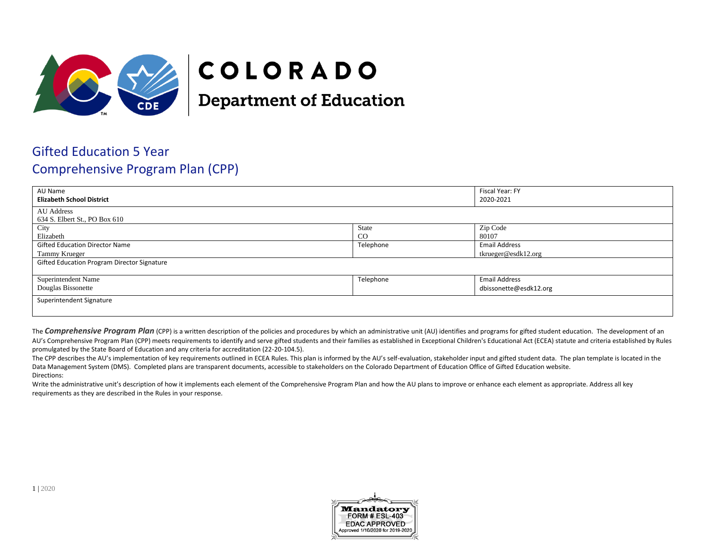

## COLORADO

**Department of Education** 

## Gifted Education 5 Year Comprehensive Program Plan (CPP)

| AU Name<br><b>Elizabeth School District</b>        |               | Fiscal Year: FY<br>2020-2021 |  |
|----------------------------------------------------|---------------|------------------------------|--|
| AU Address<br>634 S. Elbert St., PO Box 610        |               |                              |  |
| City                                               | State         | Zip Code                     |  |
| Elizabeth                                          | <sub>CO</sub> | 80107                        |  |
| <b>Gifted Education Director Name</b>              | Telephone     | <b>Email Address</b>         |  |
| Tammy Krueger                                      |               | tkrueger@esdk12.org          |  |
| <b>Gifted Education Program Director Signature</b> |               |                              |  |
| Superintendent Name                                | Telephone     | <b>Email Address</b>         |  |
| Douglas Bissonette                                 |               | dbissonette@esdk12.org       |  |
| Superintendent Signature                           |               |                              |  |
|                                                    |               |                              |  |

The **Comprehensive Program Plan** (CPP) is a written description of the policies and procedures by which an administrative unit (AU) identifies and programs for gifted student education. The development of an AU's Comprehensive Program Plan (CPP) meets requirements to identify and serve gifted students and their families as established in Exceptional Children's Educational Act (ECEA) statute and criteria established by Rules promulgated by the State Board of Education and any criteria for accreditation (22-20-104.5).

The CPP describes the AU's implementation of key requirements outlined in ECEA Rules. This plan is informed by the AU's self-evaluation, stakeholder input and gifted student data. The plan template is located in the Data Management System (DMS). Completed plans are transparent documents, accessible to stakeholders on the Colorado Department of Education Office of Gifted Education website. Directions:

Write the administrative unit's description of how it implements each element of the Comprehensive Program Plan and how the AU plans to improve or enhance each element as appropriate. Address all key requirements as they are described in the Rules in your response.

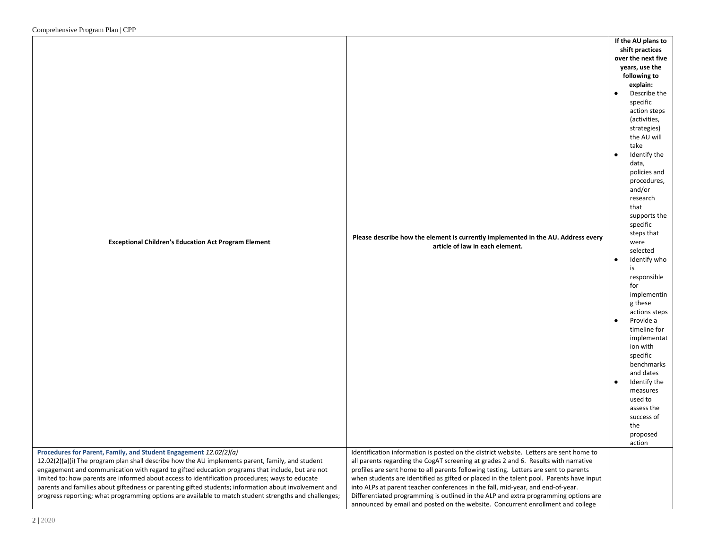|                                                                                                       |                                                                                         | If the AU plans to |                |
|-------------------------------------------------------------------------------------------------------|-----------------------------------------------------------------------------------------|--------------------|----------------|
|                                                                                                       |                                                                                         | shift practices    |                |
|                                                                                                       |                                                                                         | over the next five |                |
|                                                                                                       |                                                                                         |                    | years, use the |
|                                                                                                       |                                                                                         |                    | following to   |
|                                                                                                       |                                                                                         |                    | explain:       |
|                                                                                                       |                                                                                         | $\bullet$          | Describe the   |
|                                                                                                       |                                                                                         |                    | specific       |
|                                                                                                       |                                                                                         |                    | action steps   |
|                                                                                                       |                                                                                         |                    | (activities,   |
|                                                                                                       |                                                                                         |                    | strategies)    |
|                                                                                                       |                                                                                         |                    | the AU will    |
|                                                                                                       |                                                                                         |                    | take           |
|                                                                                                       |                                                                                         | $\bullet$          | Identify the   |
|                                                                                                       |                                                                                         |                    | data,          |
|                                                                                                       |                                                                                         |                    | policies and   |
|                                                                                                       |                                                                                         |                    | procedures,    |
|                                                                                                       |                                                                                         |                    | and/or         |
|                                                                                                       |                                                                                         |                    | research       |
|                                                                                                       |                                                                                         |                    | that           |
|                                                                                                       |                                                                                         |                    |                |
|                                                                                                       |                                                                                         |                    | supports the   |
|                                                                                                       |                                                                                         |                    | specific       |
|                                                                                                       | Please describe how the element is currently implemented in the AU. Address every       |                    | steps that     |
| <b>Exceptional Children's Education Act Program Element</b>                                           | article of law in each element.                                                         |                    | were           |
|                                                                                                       |                                                                                         |                    | selected       |
|                                                                                                       |                                                                                         | $\bullet$          | Identify who   |
|                                                                                                       |                                                                                         |                    | is             |
|                                                                                                       |                                                                                         |                    | responsible    |
|                                                                                                       |                                                                                         |                    | for            |
|                                                                                                       |                                                                                         |                    | implementin    |
|                                                                                                       |                                                                                         |                    | g these        |
|                                                                                                       |                                                                                         |                    | actions steps  |
|                                                                                                       |                                                                                         | $\bullet$          | Provide a      |
|                                                                                                       |                                                                                         |                    | timeline for   |
|                                                                                                       |                                                                                         |                    | implementat    |
|                                                                                                       |                                                                                         |                    | ion with       |
|                                                                                                       |                                                                                         |                    | specific       |
|                                                                                                       |                                                                                         |                    | benchmarks     |
|                                                                                                       |                                                                                         |                    | and dates      |
|                                                                                                       |                                                                                         | $\bullet$          | Identify the   |
|                                                                                                       |                                                                                         |                    | measures       |
|                                                                                                       |                                                                                         |                    | used to        |
|                                                                                                       |                                                                                         |                    | assess the     |
|                                                                                                       |                                                                                         |                    | success of     |
|                                                                                                       |                                                                                         |                    | the            |
|                                                                                                       |                                                                                         |                    |                |
|                                                                                                       |                                                                                         |                    | proposed       |
|                                                                                                       |                                                                                         |                    | action         |
| Procedures for Parent, Family, and Student Engagement 12.02(2)(a)                                     | Identification information is posted on the district website. Letters are sent home to  |                    |                |
| 12.02(2)(a)(i) The program plan shall describe how the AU implements parent, family, and student      | all parents regarding the CogAT screening at grades 2 and 6. Results with narrative     |                    |                |
| engagement and communication with regard to gifted education programs that include, but are not       | profiles are sent home to all parents following testing. Letters are sent to parents    |                    |                |
| limited to: how parents are informed about access to identification procedures; ways to educate       | when students are identified as gifted or placed in the talent pool. Parents have input |                    |                |
| parents and families about giftedness or parenting gifted students; information about involvement and | into ALPs at parent teacher conferences in the fall, mid-year, and end-of-year.         |                    |                |
| progress reporting; what programming options are available to match student strengths and challenges; | Differentiated programming is outlined in the ALP and extra programming options are     |                    |                |
|                                                                                                       | announced by email and posted on the website. Concurrent enrollment and college         |                    |                |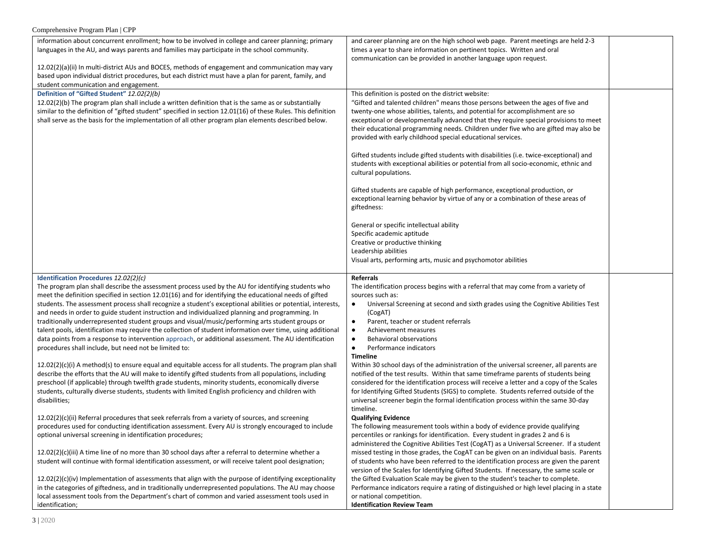| Comprehensive Program Plan   CPP                                                                                                                                                                                                                                                                                                                                                                                                                                                                                                                                                                                                                                                                                                                                                                                                                                                                                                                                                                                                                                                                                                                                                                                                                                                               |                                                                                                                                                                                                                                                                                                                                                                                                                                                                                                                                                                                                                                                                                                                                                                                                                                                                                                               |  |
|------------------------------------------------------------------------------------------------------------------------------------------------------------------------------------------------------------------------------------------------------------------------------------------------------------------------------------------------------------------------------------------------------------------------------------------------------------------------------------------------------------------------------------------------------------------------------------------------------------------------------------------------------------------------------------------------------------------------------------------------------------------------------------------------------------------------------------------------------------------------------------------------------------------------------------------------------------------------------------------------------------------------------------------------------------------------------------------------------------------------------------------------------------------------------------------------------------------------------------------------------------------------------------------------|---------------------------------------------------------------------------------------------------------------------------------------------------------------------------------------------------------------------------------------------------------------------------------------------------------------------------------------------------------------------------------------------------------------------------------------------------------------------------------------------------------------------------------------------------------------------------------------------------------------------------------------------------------------------------------------------------------------------------------------------------------------------------------------------------------------------------------------------------------------------------------------------------------------|--|
| information about concurrent enrollment; how to be involved in college and career planning; primary<br>languages in the AU, and ways parents and families may participate in the school community.<br>12.02(2)(a)(ii) In multi-district AUs and BOCES, methods of engagement and communication may vary<br>based upon individual district procedures, but each district must have a plan for parent, family, and<br>student communication and engagement.                                                                                                                                                                                                                                                                                                                                                                                                                                                                                                                                                                                                                                                                                                                                                                                                                                      | and career planning are on the high school web page. Parent meetings are held 2-3<br>times a year to share information on pertinent topics. Written and oral<br>communication can be provided in another language upon request.                                                                                                                                                                                                                                                                                                                                                                                                                                                                                                                                                                                                                                                                               |  |
| Definition of "Gifted Student" 12.02(2)(b)<br>$12.02(2)(b)$ The program plan shall include a written definition that is the same as or substantially<br>similar to the definition of "gifted student" specified in section 12.01(16) of these Rules. This definition<br>shall serve as the basis for the implementation of all other program plan elements described below.                                                                                                                                                                                                                                                                                                                                                                                                                                                                                                                                                                                                                                                                                                                                                                                                                                                                                                                    | This definition is posted on the district website:<br>"Gifted and talented children" means those persons between the ages of five and<br>twenty-one whose abilities, talents, and potential for accomplishment are so<br>exceptional or developmentally advanced that they require special provisions to meet<br>their educational programming needs. Children under five who are gifted may also be<br>provided with early childhood special educational services.<br>Gifted students include gifted students with disabilities (i.e. twice-exceptional) and<br>students with exceptional abilities or potential from all socio-economic, ethnic and<br>cultural populations.<br>Gifted students are capable of high performance, exceptional production, or<br>exceptional learning behavior by virtue of any or a combination of these areas of<br>giftedness:<br>General or specific intellectual ability |  |
|                                                                                                                                                                                                                                                                                                                                                                                                                                                                                                                                                                                                                                                                                                                                                                                                                                                                                                                                                                                                                                                                                                                                                                                                                                                                                                | Specific academic aptitude<br>Creative or productive thinking<br>Leadership abilities<br>Visual arts, performing arts, music and psychomotor abilities                                                                                                                                                                                                                                                                                                                                                                                                                                                                                                                                                                                                                                                                                                                                                        |  |
| Identification Procedures 12.02(2)(c)<br>The program plan shall describe the assessment process used by the AU for identifying students who<br>meet the definition specified in section 12.01(16) and for identifying the educational needs of gifted<br>students. The assessment process shall recognize a student's exceptional abilities or potential, interests,<br>and needs in order to guide student instruction and individualized planning and programming. In<br>traditionally underrepresented student groups and visual/music/performing arts student groups or<br>talent pools, identification may require the collection of student information over time, using additional<br>data points from a response to intervention approach, or additional assessment. The AU identification<br>procedures shall include, but need not be limited to:<br>$12.02(2)(c)(i)$ A method(s) to ensure equal and equitable access for all students. The program plan shall<br>describe the efforts that the AU will make to identify gifted students from all populations, including<br>preschool (if applicable) through twelfth grade students, minority students, economically diverse<br>students, culturally diverse students, students with limited English proficiency and children with | Referrals<br>The identification process begins with a referral that may come from a variety of<br>sources such as:<br>Universal Screening at second and sixth grades using the Cognitive Abilities Test<br>(CogAT)<br>Parent, teacher or student referrals<br>$\bullet$<br>Achievement measures<br><b>Behavioral observations</b><br>$\bullet$<br>Performance indicators<br>$\bullet$<br><b>Timeline</b><br>Within 30 school days of the administration of the universal screener, all parents are<br>notified of the test results. Within that same timeframe parents of students being<br>considered for the identification process will receive a letter and a copy of the Scales<br>for Identifying Gifted Students (SIGS) to complete. Students referred outside of the                                                                                                                                  |  |
| disabilities;<br>$12.02(2)(c)(ii)$ Referral procedures that seek referrals from a variety of sources, and screening<br>procedures used for conducting identification assessment. Every AU is strongly encouraged to include<br>optional universal screening in identification procedures;<br>$12.02(2)(c)(iii)$ A time line of no more than 30 school days after a referral to determine whether a<br>student will continue with formal identification assessment, or will receive talent pool designation;<br>$12.02(2)(c)(iv)$ Implementation of assessments that align with the purpose of identifying exceptionality<br>in the categories of giftedness, and in traditionally underrepresented populations. The AU may choose<br>local assessment tools from the Department's chart of common and varied assessment tools used in                                                                                                                                                                                                                                                                                                                                                                                                                                                          | universal screener begin the formal identification process within the same 30-day<br>timeline.<br><b>Qualifying Evidence</b><br>The following measurement tools within a body of evidence provide qualifying<br>percentiles or rankings for identification. Every student in grades 2 and 6 is<br>administered the Cognitive Abilities Test (CogAT) as a Universal Screener. If a student<br>missed testing in those grades, the CogAT can be given on an individual basis. Parents<br>of students who have been referred to the identification process are given the parent<br>version of the Scales for Identifying Gifted Students. If necessary, the same scale or<br>the Gifted Evaluation Scale may be given to the student's teacher to complete.<br>Performance indicators require a rating of distinguished or high level placing in a state<br>or national competition.                             |  |
| identification;                                                                                                                                                                                                                                                                                                                                                                                                                                                                                                                                                                                                                                                                                                                                                                                                                                                                                                                                                                                                                                                                                                                                                                                                                                                                                | <b>Identification Review Team</b>                                                                                                                                                                                                                                                                                                                                                                                                                                                                                                                                                                                                                                                                                                                                                                                                                                                                             |  |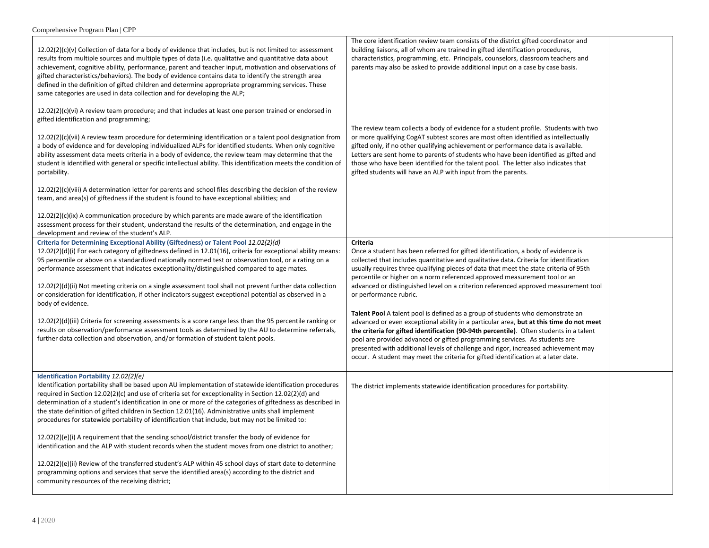| $12.02(2)(c)(v)$ Collection of data for a body of evidence that includes, but is not limited to: assessment<br>results from multiple sources and multiple types of data (i.e. qualitative and quantitative data about<br>achievement, cognitive ability, performance, parent and teacher input, motivation and observations of<br>gifted characteristics/behaviors). The body of evidence contains data to identify the strength area<br>defined in the definition of gifted children and determine appropriate programming services. These<br>same categories are used in data collection and for developing the ALP;                                                                                                                                                                                                                                                                                                                                                   | The core identification review team consists of the district gifted coordinator and<br>building liaisons, all of whom are trained in gifted identification procedures,<br>characteristics, programming, etc. Principals, counselors, classroom teachers and<br>parents may also be asked to provide additional input on a case by case basis.                                                                                                                                                                                                                                                                                                                                                                                                                                                                                        |  |
|--------------------------------------------------------------------------------------------------------------------------------------------------------------------------------------------------------------------------------------------------------------------------------------------------------------------------------------------------------------------------------------------------------------------------------------------------------------------------------------------------------------------------------------------------------------------------------------------------------------------------------------------------------------------------------------------------------------------------------------------------------------------------------------------------------------------------------------------------------------------------------------------------------------------------------------------------------------------------|--------------------------------------------------------------------------------------------------------------------------------------------------------------------------------------------------------------------------------------------------------------------------------------------------------------------------------------------------------------------------------------------------------------------------------------------------------------------------------------------------------------------------------------------------------------------------------------------------------------------------------------------------------------------------------------------------------------------------------------------------------------------------------------------------------------------------------------|--|
| $12.02(2)(c)(vi)$ A review team procedure; and that includes at least one person trained or endorsed in<br>gifted identification and programming;                                                                                                                                                                                                                                                                                                                                                                                                                                                                                                                                                                                                                                                                                                                                                                                                                        |                                                                                                                                                                                                                                                                                                                                                                                                                                                                                                                                                                                                                                                                                                                                                                                                                                      |  |
| $12.02(2)(c)(vi)$ A review team procedure for determining identification or a talent pool designation from<br>a body of evidence and for developing individualized ALPs for identified students. When only cognitive<br>ability assessment data meets criteria in a body of evidence, the review team may determine that the<br>student is identified with general or specific intellectual ability. This identification meets the condition of<br>portability.                                                                                                                                                                                                                                                                                                                                                                                                                                                                                                          | The review team collects a body of evidence for a student profile. Students with two<br>or more qualifying CogAT subtest scores are most often identified as intellectually<br>gifted only, if no other qualifying achievement or performance data is available.<br>Letters are sent home to parents of students who have been identified as gifted and<br>those who have been identified for the talent pool. The letter also indicates that<br>gifted students will have an ALP with input from the parents.                                                                                                                                                                                                                                                                                                                       |  |
| $12.02(2)(c)(viii)$ A determination letter for parents and school files describing the decision of the review<br>team, and area(s) of giftedness if the student is found to have exceptional abilities; and                                                                                                                                                                                                                                                                                                                                                                                                                                                                                                                                                                                                                                                                                                                                                              |                                                                                                                                                                                                                                                                                                                                                                                                                                                                                                                                                                                                                                                                                                                                                                                                                                      |  |
| 12.02(2)(c)(ix) A communication procedure by which parents are made aware of the identification<br>assessment process for their student, understand the results of the determination, and engage in the<br>development and review of the student's ALP.                                                                                                                                                                                                                                                                                                                                                                                                                                                                                                                                                                                                                                                                                                                  |                                                                                                                                                                                                                                                                                                                                                                                                                                                                                                                                                                                                                                                                                                                                                                                                                                      |  |
| Criteria for Determining Exceptional Ability (Giftedness) or Talent Pool 12.02(2)(d)<br>$12.02(2)(d)(i)$ For each category of giftedness defined in 12.01(16), criteria for exceptional ability means:<br>95 percentile or above on a standardized nationally normed test or observation tool, or a rating on a<br>performance assessment that indicates exceptionality/distinguished compared to age mates.<br>12.02(2)(d)(ii) Not meeting criteria on a single assessment tool shall not prevent further data collection<br>or consideration for identification, if other indicators suggest exceptional potential as observed in a<br>body of evidence.<br>$12.02(2)(d)(iii)$ Criteria for screening assessments is a score range less than the 95 percentile ranking or<br>results on observation/performance assessment tools as determined by the AU to determine referrals,<br>further data collection and observation, and/or formation of student talent pools. | Criteria<br>Once a student has been referred for gifted identification, a body of evidence is<br>collected that includes quantitative and qualitative data. Criteria for identification<br>usually requires three qualifying pieces of data that meet the state criteria of 95th<br>percentile or higher on a norm referenced approved measurement tool or an<br>advanced or distinguished level on a criterion referenced approved measurement tool<br>or performance rubric.<br>Talent Pool A talent pool is defined as a group of students who demonstrate an<br>advanced or even exceptional ability in a particular area, but at this time do not meet<br>the criteria for gifted identification (90-94th percentile). Often students in a talent<br>pool are provided advanced or gifted programming services. As students are |  |
|                                                                                                                                                                                                                                                                                                                                                                                                                                                                                                                                                                                                                                                                                                                                                                                                                                                                                                                                                                          | presented with additional levels of challenge and rigor, increased achievement may<br>occur. A student may meet the criteria for gifted identification at a later date.                                                                                                                                                                                                                                                                                                                                                                                                                                                                                                                                                                                                                                                              |  |
| Identification Portability 12.02(2)(e)<br>Identification portability shall be based upon AU implementation of statewide identification procedures<br>required in Section 12.02(2)(c) and use of criteria set for exceptionality in Section 12.02(2)(d) and<br>determination of a student's identification in one or more of the categories of giftedness as described in<br>the state definition of gifted children in Section 12.01(16). Administrative units shall implement<br>procedures for statewide portability of identification that include, but may not be limited to:                                                                                                                                                                                                                                                                                                                                                                                        | The district implements statewide identification procedures for portability.                                                                                                                                                                                                                                                                                                                                                                                                                                                                                                                                                                                                                                                                                                                                                         |  |
| 12.02(2)(e)(i) A requirement that the sending school/district transfer the body of evidence for<br>identification and the ALP with student records when the student moves from one district to another;                                                                                                                                                                                                                                                                                                                                                                                                                                                                                                                                                                                                                                                                                                                                                                  |                                                                                                                                                                                                                                                                                                                                                                                                                                                                                                                                                                                                                                                                                                                                                                                                                                      |  |
| 12.02(2)(e)(ii) Review of the transferred student's ALP within 45 school days of start date to determine<br>programming options and services that serve the identified area(s) according to the district and<br>community resources of the receiving district;                                                                                                                                                                                                                                                                                                                                                                                                                                                                                                                                                                                                                                                                                                           |                                                                                                                                                                                                                                                                                                                                                                                                                                                                                                                                                                                                                                                                                                                                                                                                                                      |  |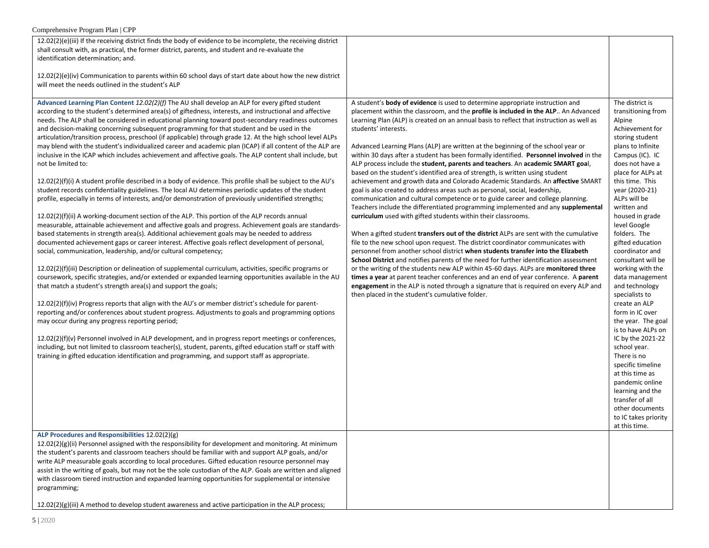| Comprehensive Program Plan   CPP                                                                                                                                                                                                                                                                                                                                                                                                                                                                                                                                                                                                                                                                                                                                                                                                                                                                                                                                                                                                                                                                                                                                                                                                                                                                                                                                                                                                                                                                                                                                                                                                                                                                                                                                                                                                                                                                                                                                                                                                                                                                                                                                                                                                                                                                                                                                                                                                                                           |                                                                                                                                                                                                                                                                                                                                                                                                                                                                                                                                                                                                                                                                                                                                                                                                                                                                                                                                                                                                                                                                                                                                                                                                                                                                                                                                                                                                                                                                                                                                                                                                                                                                                                                                   |                                                                                                                                                                                                                                                                                                                                                                                                                                                                                                                                                                                                                                                                                                                                        |
|----------------------------------------------------------------------------------------------------------------------------------------------------------------------------------------------------------------------------------------------------------------------------------------------------------------------------------------------------------------------------------------------------------------------------------------------------------------------------------------------------------------------------------------------------------------------------------------------------------------------------------------------------------------------------------------------------------------------------------------------------------------------------------------------------------------------------------------------------------------------------------------------------------------------------------------------------------------------------------------------------------------------------------------------------------------------------------------------------------------------------------------------------------------------------------------------------------------------------------------------------------------------------------------------------------------------------------------------------------------------------------------------------------------------------------------------------------------------------------------------------------------------------------------------------------------------------------------------------------------------------------------------------------------------------------------------------------------------------------------------------------------------------------------------------------------------------------------------------------------------------------------------------------------------------------------------------------------------------------------------------------------------------------------------------------------------------------------------------------------------------------------------------------------------------------------------------------------------------------------------------------------------------------------------------------------------------------------------------------------------------------------------------------------------------------------------------------------------------|-----------------------------------------------------------------------------------------------------------------------------------------------------------------------------------------------------------------------------------------------------------------------------------------------------------------------------------------------------------------------------------------------------------------------------------------------------------------------------------------------------------------------------------------------------------------------------------------------------------------------------------------------------------------------------------------------------------------------------------------------------------------------------------------------------------------------------------------------------------------------------------------------------------------------------------------------------------------------------------------------------------------------------------------------------------------------------------------------------------------------------------------------------------------------------------------------------------------------------------------------------------------------------------------------------------------------------------------------------------------------------------------------------------------------------------------------------------------------------------------------------------------------------------------------------------------------------------------------------------------------------------------------------------------------------------------------------------------------------------|----------------------------------------------------------------------------------------------------------------------------------------------------------------------------------------------------------------------------------------------------------------------------------------------------------------------------------------------------------------------------------------------------------------------------------------------------------------------------------------------------------------------------------------------------------------------------------------------------------------------------------------------------------------------------------------------------------------------------------------|
| 12.02(2)(e)(iii) If the receiving district finds the body of evidence to be incomplete, the receiving district<br>shall consult with, as practical, the former district, parents, and student and re-evaluate the<br>identification determination; and.<br>$12.02(2)(e)(iv)$ Communication to parents within 60 school days of start date about how the new district<br>will meet the needs outlined in the student's ALP                                                                                                                                                                                                                                                                                                                                                                                                                                                                                                                                                                                                                                                                                                                                                                                                                                                                                                                                                                                                                                                                                                                                                                                                                                                                                                                                                                                                                                                                                                                                                                                                                                                                                                                                                                                                                                                                                                                                                                                                                                                  |                                                                                                                                                                                                                                                                                                                                                                                                                                                                                                                                                                                                                                                                                                                                                                                                                                                                                                                                                                                                                                                                                                                                                                                                                                                                                                                                                                                                                                                                                                                                                                                                                                                                                                                                   |                                                                                                                                                                                                                                                                                                                                                                                                                                                                                                                                                                                                                                                                                                                                        |
| Advanced Learning Plan Content 12.02(2)(f) The AU shall develop an ALP for every gifted student<br>according to the student's determined area(s) of giftedness, interests, and instructional and affective<br>needs. The ALP shall be considered in educational planning toward post-secondary readiness outcomes<br>and decision-making concerning subsequent programming for that student and be used in the<br>articulation/transition process, preschool (if applicable) through grade 12. At the high school level ALPs<br>may blend with the student's individualized career and academic plan (ICAP) if all content of the ALP are<br>inclusive in the ICAP which includes achievement and affective goals. The ALP content shall include, but<br>not be limited to:<br>12.02(2)(f)(i) A student profile described in a body of evidence. This profile shall be subject to the AU's<br>student records confidentiality guidelines. The local AU determines periodic updates of the student<br>profile, especially in terms of interests, and/or demonstration of previously unidentified strengths;<br>12.02(2)(f)(ii) A working-document section of the ALP. This portion of the ALP records annual<br>measurable, attainable achievement and affective goals and progress. Achievement goals are standards-<br>based statements in strength area(s). Additional achievement goals may be needed to address<br>documented achievement gaps or career interest. Affective goals reflect development of personal,<br>social, communication, leadership, and/or cultural competency;<br>12.02(2)(f)(iii) Description or delineation of supplemental curriculum, activities, specific programs or<br>coursework, specific strategies, and/or extended or expanded learning opportunities available in the AU<br>that match a student's strength area(s) and support the goals;<br>12.02(2)(f)(iv) Progress reports that align with the AU's or member district's schedule for parent-<br>reporting and/or conferences about student progress. Adjustments to goals and programming options<br>may occur during any progress reporting period;<br>12.02(2)(f)(v) Personnel involved in ALP development, and in progress report meetings or conferences,<br>including, but not limited to classroom teacher(s), student, parents, gifted education staff or staff with<br>training in gifted education identification and programming, and support staff as appropriate. | A student's body of evidence is used to determine appropriate instruction and<br>placement within the classroom, and the profile is included in the ALP An Advanced<br>Learning Plan (ALP) is created on an annual basis to reflect that instruction as well as<br>students' interests.<br>Advanced Learning Plans (ALP) are written at the beginning of the school year or<br>within 30 days after a student has been formally identified. Personnel involved in the<br>ALP process include the student, parents and teachers. An academic SMART goal,<br>based on the student's identified area of strength, is written using student<br>achievement and growth data and Colorado Academic Standards. An affective SMART<br>goal is also created to address areas such as personal, social, leadership,<br>communication and cultural competence or to guide career and college planning.<br>Teachers include the differentiated programming implemented and any supplemental<br>curriculum used with gifted students within their classrooms.<br>When a gifted student transfers out of the district ALPs are sent with the cumulative<br>file to the new school upon request. The district coordinator communicates with<br>personnel from another school district when students transfer into the Elizabeth<br>School District and notifies parents of the need for further identification assessment<br>or the writing of the students new ALP within 45-60 days. ALPs are monitored three<br>times a year at parent teacher conferences and an end of year conference. A parent<br>engagement in the ALP is noted through a signature that is required on every ALP and<br>then placed in the student's cumulative folder. | The district is<br>transitioning from<br>Alpine<br>Achievement for<br>storing student<br>plans to Infinite<br>Campus (IC). IC<br>does not have a<br>place for ALPs at<br>this time. This<br>year (2020-21)<br>ALPs will be<br>written and<br>housed in grade<br>level Google<br>folders. The<br>gifted education<br>coordinator and<br>consultant will be<br>working with the<br>data management<br>and technology<br>specialists to<br>create an ALP<br>form in IC over<br>the year. The goal<br>is to have ALPs on<br>IC by the 2021-22<br>school year.<br>There is no<br>specific timeline<br>at this time as<br>pandemic online<br>learning and the<br>transfer of all<br>other documents<br>to IC takes priority<br>at this time. |
| ALP Procedures and Responsibilities 12.02(2)(g)<br>12.02(2)(g)(ii) Personnel assigned with the responsibility for development and monitoring. At minimum<br>the student's parents and classroom teachers should be familiar with and support ALP goals, and/or<br>write ALP measurable goals according to local procedures. Gifted education resource personnel may<br>assist in the writing of goals, but may not be the sole custodian of the ALP. Goals are written and aligned<br>with classroom tiered instruction and expanded learning opportunities for supplemental or intensive<br>programming;<br>$12.02(2)(g)(iii)$ A method to develop student awareness and active participation in the ALP process;                                                                                                                                                                                                                                                                                                                                                                                                                                                                                                                                                                                                                                                                                                                                                                                                                                                                                                                                                                                                                                                                                                                                                                                                                                                                                                                                                                                                                                                                                                                                                                                                                                                                                                                                                         |                                                                                                                                                                                                                                                                                                                                                                                                                                                                                                                                                                                                                                                                                                                                                                                                                                                                                                                                                                                                                                                                                                                                                                                                                                                                                                                                                                                                                                                                                                                                                                                                                                                                                                                                   |                                                                                                                                                                                                                                                                                                                                                                                                                                                                                                                                                                                                                                                                                                                                        |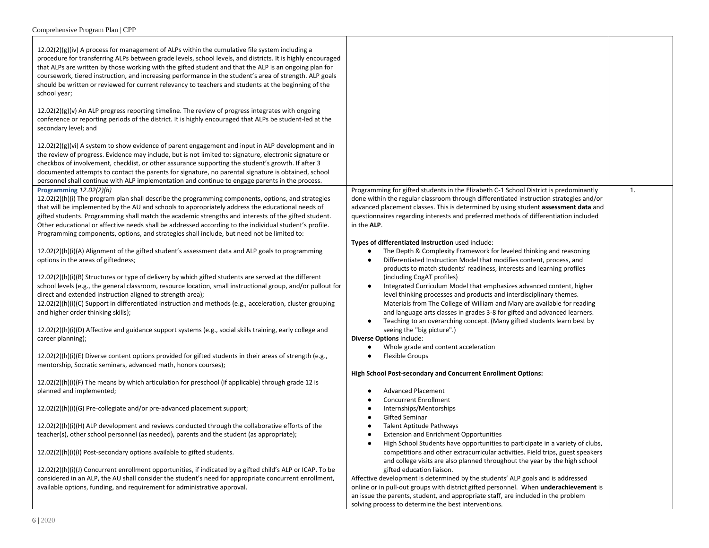| $12.02(2)(g)(iv)$ A process for management of ALPs within the cumulative file system including a<br>procedure for transferring ALPs between grade levels, school levels, and districts. It is highly encouraged<br>that ALPs are written by those working with the gifted student and that the ALP is an ongoing plan for<br>coursework, tiered instruction, and increasing performance in the student's area of strength. ALP goals<br>should be written or reviewed for current relevancy to teachers and students at the beginning of the<br>school year;<br>$12.02(2)(g)(v)$ An ALP progress reporting timeline. The review of progress integrates with ongoing<br>conference or reporting periods of the district. It is highly encouraged that ALPs be student-led at the<br>secondary level; and<br>$12.02(2)(g)(vi)$ A system to show evidence of parent engagement and input in ALP development and in<br>the review of progress. Evidence may include, but is not limited to: signature, electronic signature or<br>checkbox of involvement, checklist, or other assurance supporting the student's growth. If after 3<br>documented attempts to contact the parents for signature, no parental signature is obtained, school<br>personnel shall continue with ALP implementation and continue to engage parents in the process. |                                                                                                                                                                                                                                                                                                                                                                                                                                         |    |
|--------------------------------------------------------------------------------------------------------------------------------------------------------------------------------------------------------------------------------------------------------------------------------------------------------------------------------------------------------------------------------------------------------------------------------------------------------------------------------------------------------------------------------------------------------------------------------------------------------------------------------------------------------------------------------------------------------------------------------------------------------------------------------------------------------------------------------------------------------------------------------------------------------------------------------------------------------------------------------------------------------------------------------------------------------------------------------------------------------------------------------------------------------------------------------------------------------------------------------------------------------------------------------------------------------------------------------------------|-----------------------------------------------------------------------------------------------------------------------------------------------------------------------------------------------------------------------------------------------------------------------------------------------------------------------------------------------------------------------------------------------------------------------------------------|----|
| Programming 12.02(2)(h)                                                                                                                                                                                                                                                                                                                                                                                                                                                                                                                                                                                                                                                                                                                                                                                                                                                                                                                                                                                                                                                                                                                                                                                                                                                                                                                    | Programming for gifted students in the Elizabeth C-1 School District is predominantly                                                                                                                                                                                                                                                                                                                                                   | 1. |
| $12.02(2)(h)(i)$ The program plan shall describe the programming components, options, and strategies<br>that will be implemented by the AU and schools to appropriately address the educational needs of<br>gifted students. Programming shall match the academic strengths and interests of the gifted student.<br>Other educational or affective needs shall be addressed according to the individual student's profile.<br>Programming components, options, and strategies shall include, but need not be limited to:                                                                                                                                                                                                                                                                                                                                                                                                                                                                                                                                                                                                                                                                                                                                                                                                                   | done within the regular classroom through differentiated instruction strategies and/or<br>advanced placement classes. This is determined by using student assessment data and<br>questionnaires regarding interests and preferred methods of differentiation included<br>in the ALP.                                                                                                                                                    |    |
|                                                                                                                                                                                                                                                                                                                                                                                                                                                                                                                                                                                                                                                                                                                                                                                                                                                                                                                                                                                                                                                                                                                                                                                                                                                                                                                                            | Types of differentiated Instruction used include:                                                                                                                                                                                                                                                                                                                                                                                       |    |
| $12.02(2)(h)(i)(A)$ Alignment of the gifted student's assessment data and ALP goals to programming<br>options in the areas of giftedness;                                                                                                                                                                                                                                                                                                                                                                                                                                                                                                                                                                                                                                                                                                                                                                                                                                                                                                                                                                                                                                                                                                                                                                                                  | The Depth & Complexity Framework for leveled thinking and reasoning<br>$\bullet$<br>Differentiated Instruction Model that modifies content, process, and<br>$\bullet$<br>products to match students' readiness, interests and learning profiles                                                                                                                                                                                         |    |
| $12.02(2)(h)(i)(B)$ Structures or type of delivery by which gifted students are served at the different<br>school levels (e.g., the general classroom, resource location, small instructional group, and/or pullout for<br>direct and extended instruction aligned to strength area);<br>12.02(2)(h)(i)(C) Support in differentiated instruction and methods (e.g., acceleration, cluster grouping<br>and higher order thinking skills);                                                                                                                                                                                                                                                                                                                                                                                                                                                                                                                                                                                                                                                                                                                                                                                                                                                                                                   | (including CogAT profiles)<br>Integrated Curriculum Model that emphasizes advanced content, higher<br>$\bullet$<br>level thinking processes and products and interdisciplinary themes.<br>Materials from The College of William and Mary are available for reading<br>and language arts classes in grades 3-8 for gifted and advanced learners.<br>Teaching to an overarching concept. (Many gifted students learn best by<br>$\bullet$ |    |
| 12.02(2)(h)(i)(D) Affective and guidance support systems (e.g., social skills training, early college and<br>career planning);                                                                                                                                                                                                                                                                                                                                                                                                                                                                                                                                                                                                                                                                                                                                                                                                                                                                                                                                                                                                                                                                                                                                                                                                             | seeing the "big picture".)<br>Diverse Options include:<br>Whole grade and content acceleration<br>$\bullet$                                                                                                                                                                                                                                                                                                                             |    |
| 12.02(2)(h)(i)(E) Diverse content options provided for gifted students in their areas of strength (e.g.,<br>mentorship, Socratic seminars, advanced math, honors courses);                                                                                                                                                                                                                                                                                                                                                                                                                                                                                                                                                                                                                                                                                                                                                                                                                                                                                                                                                                                                                                                                                                                                                                 | <b>Flexible Groups</b><br>$\bullet$                                                                                                                                                                                                                                                                                                                                                                                                     |    |
|                                                                                                                                                                                                                                                                                                                                                                                                                                                                                                                                                                                                                                                                                                                                                                                                                                                                                                                                                                                                                                                                                                                                                                                                                                                                                                                                            | High School Post-secondary and Concurrent Enrollment Options:                                                                                                                                                                                                                                                                                                                                                                           |    |
| $12.02(2)(h)(i)(F)$ The means by which articulation for preschool (if applicable) through grade 12 is<br>planned and implemented;                                                                                                                                                                                                                                                                                                                                                                                                                                                                                                                                                                                                                                                                                                                                                                                                                                                                                                                                                                                                                                                                                                                                                                                                          | <b>Advanced Placement</b><br>$\bullet$<br>Concurrent Enrollment<br>$\bullet$                                                                                                                                                                                                                                                                                                                                                            |    |
| 12.02(2)(h)(i)(G) Pre-collegiate and/or pre-advanced placement support;                                                                                                                                                                                                                                                                                                                                                                                                                                                                                                                                                                                                                                                                                                                                                                                                                                                                                                                                                                                                                                                                                                                                                                                                                                                                    | Internships/Mentorships<br>٠<br><b>Gifted Seminar</b>                                                                                                                                                                                                                                                                                                                                                                                   |    |
| 12.02(2)(h)(i)(H) ALP development and reviews conducted through the collaborative efforts of the                                                                                                                                                                                                                                                                                                                                                                                                                                                                                                                                                                                                                                                                                                                                                                                                                                                                                                                                                                                                                                                                                                                                                                                                                                           | Talent Aptitude Pathways<br>$\bullet$                                                                                                                                                                                                                                                                                                                                                                                                   |    |
| teacher(s), other school personnel (as needed), parents and the student (as appropriate);                                                                                                                                                                                                                                                                                                                                                                                                                                                                                                                                                                                                                                                                                                                                                                                                                                                                                                                                                                                                                                                                                                                                                                                                                                                  | <b>Extension and Enrichment Opportunities</b><br>$\bullet$<br>High School Students have opportunities to participate in a variety of clubs,<br>$\bullet$                                                                                                                                                                                                                                                                                |    |
| 12.02(2)(h)(i)(l) Post-secondary options available to gifted students.                                                                                                                                                                                                                                                                                                                                                                                                                                                                                                                                                                                                                                                                                                                                                                                                                                                                                                                                                                                                                                                                                                                                                                                                                                                                     | competitions and other extracurricular activities. Field trips, guest speakers<br>and college visits are also planned throughout the year by the high school                                                                                                                                                                                                                                                                            |    |
| 12.02(2)(h)(i)(J) Concurrent enrollment opportunities, if indicated by a gifted child's ALP or ICAP. To be<br>considered in an ALP, the AU shall consider the student's need for appropriate concurrent enrollment,<br>available options, funding, and requirement for administrative approval.                                                                                                                                                                                                                                                                                                                                                                                                                                                                                                                                                                                                                                                                                                                                                                                                                                                                                                                                                                                                                                            | gifted education liaison.<br>Affective development is determined by the students' ALP goals and is addressed<br>online or in pull-out groups with district gifted personnel. When underachievement is<br>an issue the parents, student, and appropriate staff, are included in the problem<br>solving process to determine the best interventions.                                                                                      |    |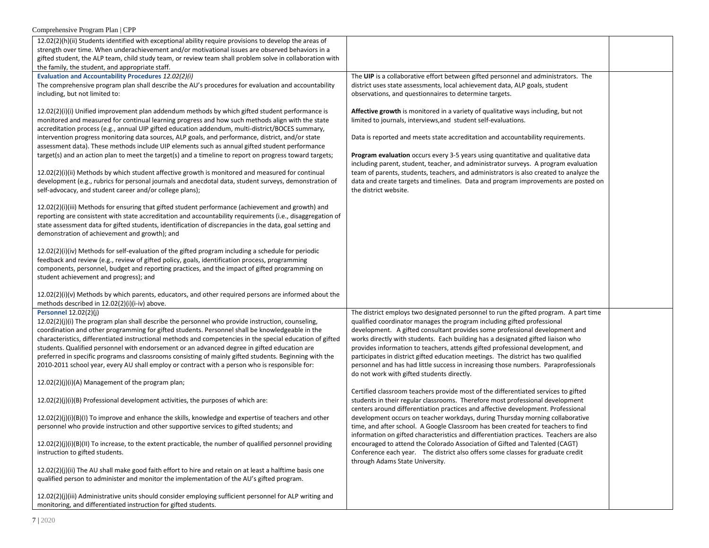| Comprehensive Program Plan   CPP                                                                                                                                                                                                                                                                                                                                                                                                                                                                                                                                                                                                                                                                                                                                                                                                                                                                                                                                                                                                                                                                                                                                                                                                                                                                                                                                                                                                                                                                   |                                                                                                                                                                                                                                                                                                                                                                                                                                                                                                                                                                                                                                                |  |
|----------------------------------------------------------------------------------------------------------------------------------------------------------------------------------------------------------------------------------------------------------------------------------------------------------------------------------------------------------------------------------------------------------------------------------------------------------------------------------------------------------------------------------------------------------------------------------------------------------------------------------------------------------------------------------------------------------------------------------------------------------------------------------------------------------------------------------------------------------------------------------------------------------------------------------------------------------------------------------------------------------------------------------------------------------------------------------------------------------------------------------------------------------------------------------------------------------------------------------------------------------------------------------------------------------------------------------------------------------------------------------------------------------------------------------------------------------------------------------------------------|------------------------------------------------------------------------------------------------------------------------------------------------------------------------------------------------------------------------------------------------------------------------------------------------------------------------------------------------------------------------------------------------------------------------------------------------------------------------------------------------------------------------------------------------------------------------------------------------------------------------------------------------|--|
| 12.02(2)(h)(ii) Students identified with exceptional ability require provisions to develop the areas of                                                                                                                                                                                                                                                                                                                                                                                                                                                                                                                                                                                                                                                                                                                                                                                                                                                                                                                                                                                                                                                                                                                                                                                                                                                                                                                                                                                            |                                                                                                                                                                                                                                                                                                                                                                                                                                                                                                                                                                                                                                                |  |
| strength over time. When underachievement and/or motivational issues are observed behaviors in a                                                                                                                                                                                                                                                                                                                                                                                                                                                                                                                                                                                                                                                                                                                                                                                                                                                                                                                                                                                                                                                                                                                                                                                                                                                                                                                                                                                                   |                                                                                                                                                                                                                                                                                                                                                                                                                                                                                                                                                                                                                                                |  |
| gifted student, the ALP team, child study team, or review team shall problem solve in collaboration with                                                                                                                                                                                                                                                                                                                                                                                                                                                                                                                                                                                                                                                                                                                                                                                                                                                                                                                                                                                                                                                                                                                                                                                                                                                                                                                                                                                           |                                                                                                                                                                                                                                                                                                                                                                                                                                                                                                                                                                                                                                                |  |
| the family, the student, and appropriate staff.                                                                                                                                                                                                                                                                                                                                                                                                                                                                                                                                                                                                                                                                                                                                                                                                                                                                                                                                                                                                                                                                                                                                                                                                                                                                                                                                                                                                                                                    |                                                                                                                                                                                                                                                                                                                                                                                                                                                                                                                                                                                                                                                |  |
| Evaluation and Accountability Procedures 12.02(2)(i)                                                                                                                                                                                                                                                                                                                                                                                                                                                                                                                                                                                                                                                                                                                                                                                                                                                                                                                                                                                                                                                                                                                                                                                                                                                                                                                                                                                                                                               | The UIP is a collaborative effort between gifted personnel and administrators. The                                                                                                                                                                                                                                                                                                                                                                                                                                                                                                                                                             |  |
| The comprehensive program plan shall describe the AU's procedures for evaluation and accountability                                                                                                                                                                                                                                                                                                                                                                                                                                                                                                                                                                                                                                                                                                                                                                                                                                                                                                                                                                                                                                                                                                                                                                                                                                                                                                                                                                                                | district uses state assessments, local achievement data, ALP goals, student                                                                                                                                                                                                                                                                                                                                                                                                                                                                                                                                                                    |  |
| including, but not limited to:                                                                                                                                                                                                                                                                                                                                                                                                                                                                                                                                                                                                                                                                                                                                                                                                                                                                                                                                                                                                                                                                                                                                                                                                                                                                                                                                                                                                                                                                     | observations, and questionnaires to determine targets.                                                                                                                                                                                                                                                                                                                                                                                                                                                                                                                                                                                         |  |
| 12.02(2)(i)(i) Unified improvement plan addendum methods by which gifted student performance is<br>monitored and measured for continual learning progress and how such methods align with the state<br>accreditation process (e.g., annual UIP gifted education addendum, multi-district/BOCES summary,<br>intervention progress monitoring data sources, ALP goals, and performance, district, and/or state<br>assessment data). These methods include UIP elements such as annual gifted student performance<br>target(s) and an action plan to meet the target(s) and a timeline to report on progress toward targets;<br>$12.02(2)(i)(ii)$ Methods by which student affective growth is monitored and measured for continual<br>development (e.g., rubrics for personal journals and anecdotal data, student surveys, demonstration of<br>self-advocacy, and student career and/or college plans);<br>12.02(2)(i)(iii) Methods for ensuring that gifted student performance (achievement and growth) and<br>reporting are consistent with state accreditation and accountability requirements (i.e., disaggregation of<br>state assessment data for gifted students, identification of discrepancies in the data, goal setting and<br>demonstration of achievement and growth); and<br>$12.02(2)(i)(iv)$ Methods for self-evaluation of the gifted program including a schedule for periodic<br>feedback and review (e.g., review of gifted policy, goals, identification process, programming | Affective growth is monitored in a variety of qualitative ways including, but not<br>limited to journals, interviews, and student self-evaluations.<br>Data is reported and meets state accreditation and accountability requirements.<br>Program evaluation occurs every 3-5 years using quantitative and qualitative data<br>including parent, student, teacher, and administrator surveys. A program evaluation<br>team of parents, students, teachers, and administrators is also created to analyze the<br>data and create targets and timelines. Data and program improvements are posted on<br>the district website.                    |  |
| components, personnel, budget and reporting practices, and the impact of gifted programming on<br>student achievement and progress); and<br>$12.02(2)(i)(v)$ Methods by which parents, educators, and other required persons are informed about the                                                                                                                                                                                                                                                                                                                                                                                                                                                                                                                                                                                                                                                                                                                                                                                                                                                                                                                                                                                                                                                                                                                                                                                                                                                |                                                                                                                                                                                                                                                                                                                                                                                                                                                                                                                                                                                                                                                |  |
| methods described in 12.02(2)(i)(i-iv) above.                                                                                                                                                                                                                                                                                                                                                                                                                                                                                                                                                                                                                                                                                                                                                                                                                                                                                                                                                                                                                                                                                                                                                                                                                                                                                                                                                                                                                                                      |                                                                                                                                                                                                                                                                                                                                                                                                                                                                                                                                                                                                                                                |  |
| Personnel 12.02(2)(j)<br>$12.02(2)(j)(i)$ The program plan shall describe the personnel who provide instruction, counseling,<br>coordination and other programming for gifted students. Personnel shall be knowledgeable in the<br>characteristics, differentiated instructional methods and competencies in the special education of gifted<br>students. Qualified personnel with endorsement or an advanced degree in gifted education are<br>preferred in specific programs and classrooms consisting of mainly gifted students. Beginning with the<br>2010-2011 school year, every AU shall employ or contract with a person who is responsible for:                                                                                                                                                                                                                                                                                                                                                                                                                                                                                                                                                                                                                                                                                                                                                                                                                                           | The district employs two designated personnel to run the gifted program. A part time<br>qualified coordinator manages the program including gifted professional<br>development. A gifted consultant provides some professional development and<br>works directly with students. Each building has a designated gifted liaison who<br>provides information to teachers, attends gifted professional development, and<br>participates in district gifted education meetings. The district has two qualified<br>personnel and has had little success in increasing those numbers. Paraprofessionals<br>do not work with gifted students directly. |  |
| 12.02(2)(j)(i)(A) Management of the program plan;                                                                                                                                                                                                                                                                                                                                                                                                                                                                                                                                                                                                                                                                                                                                                                                                                                                                                                                                                                                                                                                                                                                                                                                                                                                                                                                                                                                                                                                  |                                                                                                                                                                                                                                                                                                                                                                                                                                                                                                                                                                                                                                                |  |
| 12.02(2)(j)(i)(B) Professional development activities, the purposes of which are:                                                                                                                                                                                                                                                                                                                                                                                                                                                                                                                                                                                                                                                                                                                                                                                                                                                                                                                                                                                                                                                                                                                                                                                                                                                                                                                                                                                                                  | Certified classroom teachers provide most of the differentiated services to gifted<br>students in their regular classrooms. Therefore most professional development<br>centers around differentiation practices and affective development. Professional                                                                                                                                                                                                                                                                                                                                                                                        |  |
| $12.02(2)(j)(j)(B)(l)$ To improve and enhance the skills, knowledge and expertise of teachers and other<br>personnel who provide instruction and other supportive services to gifted students; and                                                                                                                                                                                                                                                                                                                                                                                                                                                                                                                                                                                                                                                                                                                                                                                                                                                                                                                                                                                                                                                                                                                                                                                                                                                                                                 | development occurs on teacher workdays, during Thursday morning collaborative<br>time, and after school. A Google Classroom has been created for teachers to find<br>information on gifted characteristics and differentiation practices. Teachers are also                                                                                                                                                                                                                                                                                                                                                                                    |  |
| $12.02(2)(i)(i)(B)(II)$ To increase, to the extent practicable, the number of qualified personnel providing<br>instruction to gifted students.                                                                                                                                                                                                                                                                                                                                                                                                                                                                                                                                                                                                                                                                                                                                                                                                                                                                                                                                                                                                                                                                                                                                                                                                                                                                                                                                                     | encouraged to attend the Colorado Association of Gifted and Talented (CAGT)<br>Conference each year. The district also offers some classes for graduate credit<br>through Adams State University.                                                                                                                                                                                                                                                                                                                                                                                                                                              |  |
| $12.02(2)(j)(ii)$ The AU shall make good faith effort to hire and retain on at least a halftime basis one<br>qualified person to administer and monitor the implementation of the AU's gifted program.                                                                                                                                                                                                                                                                                                                                                                                                                                                                                                                                                                                                                                                                                                                                                                                                                                                                                                                                                                                                                                                                                                                                                                                                                                                                                             |                                                                                                                                                                                                                                                                                                                                                                                                                                                                                                                                                                                                                                                |  |
| $12.02(2)(j)(iii)$ Administrative units should consider employing sufficient personnel for ALP writing and<br>monitoring, and differentiated instruction for gifted students.                                                                                                                                                                                                                                                                                                                                                                                                                                                                                                                                                                                                                                                                                                                                                                                                                                                                                                                                                                                                                                                                                                                                                                                                                                                                                                                      |                                                                                                                                                                                                                                                                                                                                                                                                                                                                                                                                                                                                                                                |  |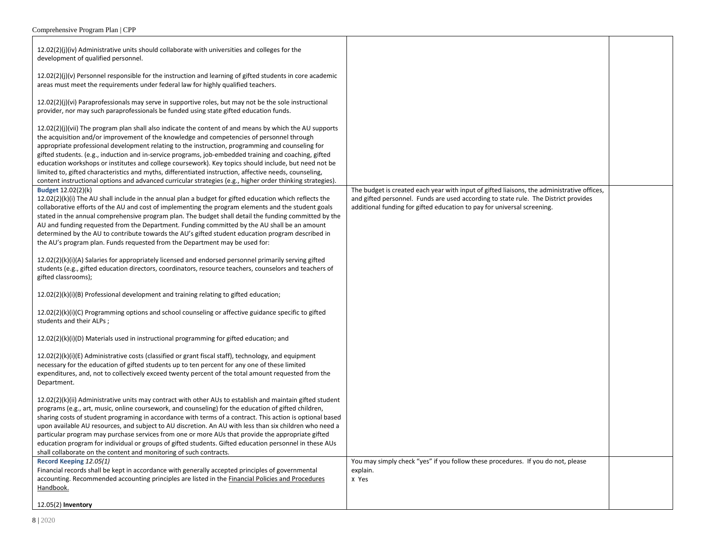| 12.02(2)(j)(iv) Administrative units should collaborate with universities and colleges for the<br>development of qualified personnel.                                                                                                                                                                                                                                                                                                                                                                                                                                                                                                                                                                                                                |                                                                                                                                                                                                                                                              |  |
|------------------------------------------------------------------------------------------------------------------------------------------------------------------------------------------------------------------------------------------------------------------------------------------------------------------------------------------------------------------------------------------------------------------------------------------------------------------------------------------------------------------------------------------------------------------------------------------------------------------------------------------------------------------------------------------------------------------------------------------------------|--------------------------------------------------------------------------------------------------------------------------------------------------------------------------------------------------------------------------------------------------------------|--|
| $12.02(2)(j)(v)$ Personnel responsible for the instruction and learning of gifted students in core academic<br>areas must meet the requirements under federal law for highly qualified teachers.                                                                                                                                                                                                                                                                                                                                                                                                                                                                                                                                                     |                                                                                                                                                                                                                                                              |  |
| 12.02(2)(j)(vi) Paraprofessionals may serve in supportive roles, but may not be the sole instructional<br>provider, nor may such paraprofessionals be funded using state gifted education funds.                                                                                                                                                                                                                                                                                                                                                                                                                                                                                                                                                     |                                                                                                                                                                                                                                                              |  |
| $12.02(2)(j)(vii)$ The program plan shall also indicate the content of and means by which the AU supports<br>the acquisition and/or improvement of the knowledge and competencies of personnel through<br>appropriate professional development relating to the instruction, programming and counseling for<br>gifted students. (e.g., induction and in-service programs, job-embedded training and coaching, gifted<br>education workshops or institutes and college coursework). Key topics should include, but need not be<br>limited to, gifted characteristics and myths, differentiated instruction, affective needs, counseling,<br>content instructional options and advanced curricular strategies (e.g., higher order thinking strategies). |                                                                                                                                                                                                                                                              |  |
| Budget 12.02(2)(k)<br>$12.02(2)(k)(i)$ The AU shall include in the annual plan a budget for gifted education which reflects the<br>collaborative efforts of the AU and cost of implementing the program elements and the student goals<br>stated in the annual comprehensive program plan. The budget shall detail the funding committed by the<br>AU and funding requested from the Department. Funding committed by the AU shall be an amount<br>determined by the AU to contribute towards the AU's gifted student education program described in<br>the AU's program plan. Funds requested from the Department may be used for:                                                                                                                  | The budget is created each year with input of gifted liaisons, the administrative offices,<br>and gifted personnel. Funds are used according to state rule. The District provides<br>additional funding for gifted education to pay for universal screening. |  |
| 12.02(2)(k)(i)(A) Salaries for appropriately licensed and endorsed personnel primarily serving gifted<br>students (e.g., gifted education directors, coordinators, resource teachers, counselors and teachers of<br>gifted classrooms);                                                                                                                                                                                                                                                                                                                                                                                                                                                                                                              |                                                                                                                                                                                                                                                              |  |
| $12.02(2)(k)(i)(B)$ Professional development and training relating to gifted education;                                                                                                                                                                                                                                                                                                                                                                                                                                                                                                                                                                                                                                                              |                                                                                                                                                                                                                                                              |  |
| 12.02(2)(k)(i)(C) Programming options and school counseling or affective guidance specific to gifted<br>students and their ALPs;                                                                                                                                                                                                                                                                                                                                                                                                                                                                                                                                                                                                                     |                                                                                                                                                                                                                                                              |  |
| 12.02(2)(k)(i)(D) Materials used in instructional programming for gifted education; and                                                                                                                                                                                                                                                                                                                                                                                                                                                                                                                                                                                                                                                              |                                                                                                                                                                                                                                                              |  |
| 12.02(2)(k)(i)(E) Administrative costs (classified or grant fiscal staff), technology, and equipment<br>necessary for the education of gifted students up to ten percent for any one of these limited<br>expenditures, and, not to collectively exceed twenty percent of the total amount requested from the<br>Department.                                                                                                                                                                                                                                                                                                                                                                                                                          |                                                                                                                                                                                                                                                              |  |
| 12.02(2)(k)(ii) Administrative units may contract with other AUs to establish and maintain gifted student<br>programs (e.g., art, music, online coursework, and counseling) for the education of gifted children,<br>sharing costs of student programing in accordance with terms of a contract. This action is optional based<br>upon available AU resources, and subject to AU discretion. An AU with less than six children who need a<br>particular program may purchase services from one or more AUs that provide the appropriate gifted<br>education program for individual or groups of gifted students. Gifted education personnel in these AUs<br>shall collaborate on the content and monitoring of such contracts.                       |                                                                                                                                                                                                                                                              |  |
| Record Keeping 12.05(1)<br>Financial records shall be kept in accordance with generally accepted principles of governmental<br>accounting. Recommended accounting principles are listed in the Financial Policies and Procedures<br>Handbook.                                                                                                                                                                                                                                                                                                                                                                                                                                                                                                        | You may simply check "yes" if you follow these procedures. If you do not, please<br>explain.<br>x Yes                                                                                                                                                        |  |
| 12.05(2) Inventory                                                                                                                                                                                                                                                                                                                                                                                                                                                                                                                                                                                                                                                                                                                                   |                                                                                                                                                                                                                                                              |  |